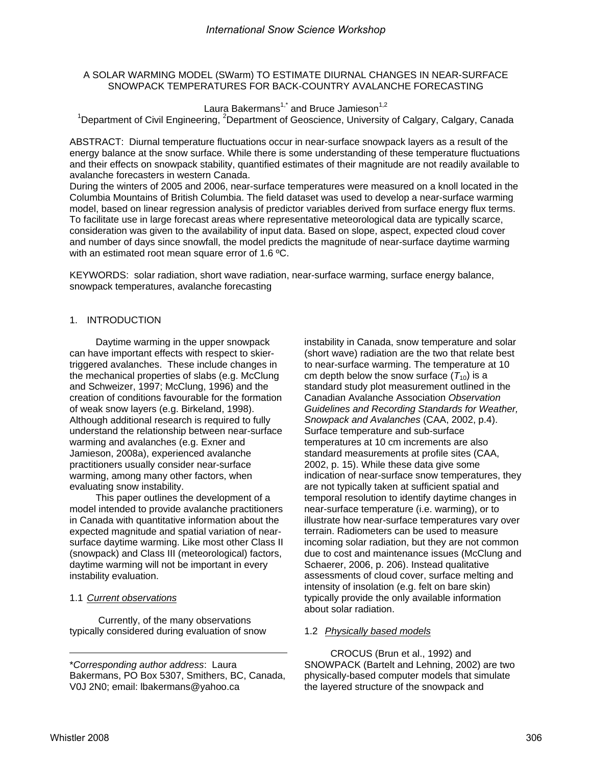# A SOLAR WARMING MODEL (SWarm) TO ESTIMATE DIURNAL CHANGES IN NEAR-SURFACE SNOWPACK TEMPERATURES FOR BACK-COUNTRY AVALANCHE FORECASTING

Laura Bakermans<sup>1,\*</sup> and Bruce Jamieson<sup>1,2</sup> <sup>1</sup>Department of Civil Engineering, <sup>2</sup>Department of Geoscience, University of Calgary, Calgary, Canada

ABSTRACT:Diurnal temperature fluctuations occur in near-surface snowpack layers as a result of the energy balance at the snow surface. While there is some understanding of these temperature fluctuations and their effects on snowpack stability, quantified estimates of their magnitude are not readily available to avalanche forecasters in western Canada.

During the winters of 2005 and 2006, near-surface temperatures were measured on a knoll located in the Columbia Mountains of British Columbia. The field dataset was used to develop a near-surface warming model, based on linear regression analysis of predictor variables derived from surface energy flux terms. To facilitate use in large forecast areas where representative meteorological data are typically scarce, consideration was given to the availability of input data. Based on slope, aspect, expected cloud cover and number of days since snowfall, the model predicts the magnitude of near-surface daytime warming with an estimated root mean square error of 1.6 °C.

KEYWORDS: solar radiation, short wave radiation, near-surface warming, surface energy balance, snowpack temperatures, avalanche forecasting

# 1. INTRODUCTION

Daytime warming in the upper snowpack can have important effects with respect to skiertriggered avalanches. These include changes in the mechanical properties of slabs (e.g. McClung and Schweizer, 1997; McClung, 1996) and the creation of conditions favourable for the formation of weak snow layers (e.g. Birkeland, 1998). Although additional research is required to fully understand the relationship between near-surface warming and avalanches (e.g. Exner and Jamieson, 2008a), experienced avalanche practitioners usually consider near-surface warming, among many other factors, when evaluating snow instability.

This paper outlines the development of a model intended to provide avalanche practitioners in Canada with quantitative information about the expected magnitude and spatial variation of nearsurface daytime warming. Like most other Class II (snowpack) and Class III (meteorological) factors, daytime warming will not be important in every instability evaluation.

# 1.1 *Current observations*

 Currently, of the many observations typically considered during evaluation of snow instability in Canada, snow temperature and solar (short wave) radiation are the two that relate best to near-surface warming. The temperature at 10 cm depth below the snow surface  $(T_{10})$  is a standard study plot measurement outlined in the Canadian Avalanche Association *Observation Guidelines and Recording Standards for Weather, Snowpack and Avalanches* (CAA, 2002, p.4). Surface temperature and sub-surface temperatures at 10 cm increments are also standard measurements at profile sites (CAA, 2002, p. 15). While these data give some indication of near-surface snow temperatures, they are not typically taken at sufficient spatial and temporal resolution to identify daytime changes in near-surface temperature (i.e. warming), or to illustrate how near-surface temperatures vary over terrain. Radiometers can be used to measure incoming solar radiation, but they are not common due to cost and maintenance issues (McClung and Schaerer, 2006, p. 206). Instead qualitative assessments of cloud cover, surface melting and intensity of insolation (e.g. felt on bare skin) typically provide the only available information about solar radiation.

# 1.2 *Physically based models*

CROCUS (Brun et al., 1992) and SNOWPACK (Bartelt and Lehning, 2002) are two physically-based computer models that simulate the layered structure of the snowpack and

<sup>\*</sup>*Corresponding author address*: Laura Bakermans, PO Box 5307, Smithers, BC, Canada, V0J 2N0; email: lbakermans@yahoo.ca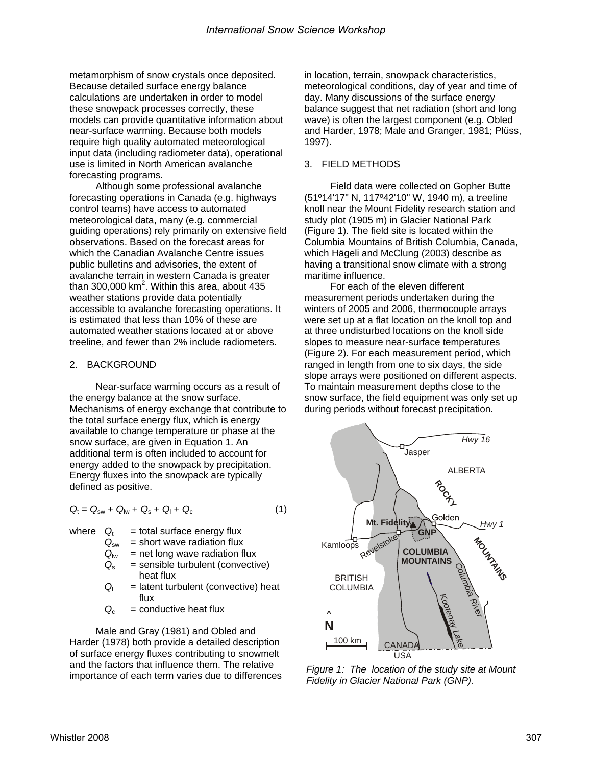metamorphism of snow crystals once deposited. Because detailed surface energy balance calculations are undertaken in order to model these snowpack processes correctly, these models can provide quantitative information about near-surface warming. Because both models require high quality automated meteorological input data (including radiometer data), operational use is limited in North American avalanche forecasting programs.

Although some professional avalanche forecasting operations in Canada (e.g. highways control teams) have access to automated meteorological data, many (e.g. commercial guiding operations) rely primarily on extensive field observations. Based on the forecast areas for which the Canadian Avalanche Centre issues public bulletins and advisories, the extent of avalanche terrain in western Canada is greater than 300,000 km<sup>2</sup>. Within this area, about 435 weather stations provide data potentially accessible to avalanche forecasting operations. It is estimated that less than 10% of these are automated weather stations located at or above treeline, and fewer than 2% include radiometers.

# 2. BACKGROUND

Near-surface warming occurs as a result of the energy balance at the snow surface. Mechanisms of energy exchange that contribute to the total surface energy flux, which is energy available to change temperature or phase at the snow surface, are given in Equation 1. An additional term is often included to account for energy added to the snowpack by precipitation. Energy fluxes into the snowpack are typically defined as positive.

$$
Q_{t} = Q_{sw} + Q_{lw} + Q_{s} + Q_{l} + Q_{c}
$$
 (1)

- where  $Q_t$  = total surface energy flux
	- $Q_{\text{sw}}$  = short wave radiation flux
	-
	- $Q_{\text{lw}}$  = net long wave radiation flux<br> $Q_{\text{s}}$  = sensible turbulent (convectiv  $=$  sensible turbulent (convective) heat flux
	- *Q*l = latent turbulent (convective) heat flux
	- $Q_c$  = conductive heat flux

Male and Gray (1981) and Obled and Harder (1978) both provide a detailed description of surface energy fluxes contributing to snowmelt and the factors that influence them. The relative importance of each term varies due to differences in location, terrain, snowpack characteristics, meteorological conditions, day of year and time of day. Many discussions of the surface energy balance suggest that net radiation (short and long wave) is often the largest component (e.g. Obled and Harder, 1978; Male and Granger, 1981; Plüss, 1997).

## 3. FIELD METHODS

Field data were collected on Gopher Butte (51º14'17" N, 117º42'10" W, 1940 m), a treeline knoll near the Mount Fidelity research station and study plot (1905 m) in Glacier National Park (Figure 1). The field site is located within the Columbia Mountains of British Columbia, Canada, which Hägeli and McClung (2003) describe as having a transitional snow climate with a strong maritime influence.

For each of the eleven different measurement periods undertaken during the winters of 2005 and 2006, thermocouple arrays were set up at a flat location on the knoll top and at three undisturbed locations on the knoll side slopes to measure near-surface temperatures (Figure 2). For each measurement period, which ranged in length from one to six days, the side slope arrays were positioned on different aspects. To maintain measurement depths close to the snow surface, the field equipment was only set up during periods without forecast precipitation.



*Figure 1: The location of the study site at Mount Fidelity in Glacier National Park (GNP).*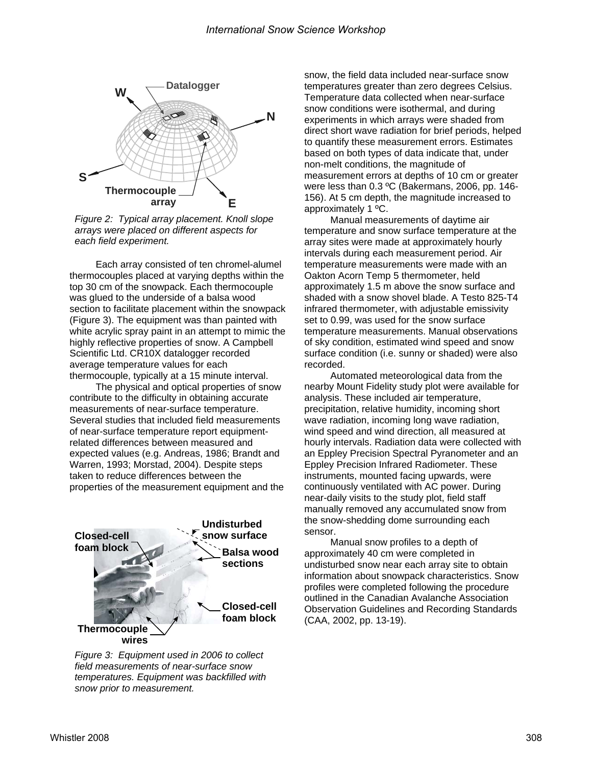

*Figure 2: Typical array placement. Knoll slope arrays were placed on different aspects for each field experiment.* 

Each array consisted of ten chromel-alumel thermocouples placed at varying depths within the top 30 cm of the snowpack. Each thermocouple was glued to the underside of a balsa wood section to facilitate placement within the snowpack (Figure 3). The equipment was than painted with white acrylic spray paint in an attempt to mimic the highly reflective properties of snow. A Campbell Scientific Ltd. CR10X datalogger recorded average temperature values for each thermocouple, typically at a 15 minute interval.

The physical and optical properties of snow contribute to the difficulty in obtaining accurate measurements of near-surface temperature. Several studies that included field measurements of near-surface temperature report equipmentrelated differences between measured and expected values (e.g. Andreas, 1986; Brandt and Warren, 1993; Morstad, 2004). Despite steps taken to reduce differences between the properties of the measurement equipment and the



*Figure 3: Equipment used in 2006 to collect field measurements of near-surface snow temperatures. Equipment was backfilled with snow prior to measurement.* 

snow, the field data included near-surface snow temperatures greater than zero degrees Celsius. Temperature data collected when near-surface snow conditions were isothermal, and during experiments in which arrays were shaded from direct short wave radiation for brief periods, helped to quantify these measurement errors. Estimates based on both types of data indicate that, under non-melt conditions, the magnitude of measurement errors at depths of 10 cm or greater were less than 0.3 ºC (Bakermans, 2006, pp. 146- 156). At 5 cm depth, the magnitude increased to approximately 1 ºC.

Manual measurements of daytime air temperature and snow surface temperature at the array sites were made at approximately hourly intervals during each measurement period. Air temperature measurements were made with an Oakton Acorn Temp 5 thermometer, held approximately 1.5 m above the snow surface and shaded with a snow shovel blade. A Testo 825-T4 infrared thermometer, with adjustable emissivity set to 0.99, was used for the snow surface temperature measurements. Manual observations of sky condition, estimated wind speed and snow surface condition (i.e. sunny or shaded) were also recorded.

Automated meteorological data from the nearby Mount Fidelity study plot were available for analysis. These included air temperature, precipitation, relative humidity, incoming short wave radiation, incoming long wave radiation, wind speed and wind direction, all measured at hourly intervals. Radiation data were collected with an Eppley Precision Spectral Pyranometer and an Eppley Precision Infrared Radiometer. These instruments, mounted facing upwards, were continuously ventilated with AC power. During near-daily visits to the study plot, field staff manually removed any accumulated snow from the snow-shedding dome surrounding each sensor.

Manual snow profiles to a depth of approximately 40 cm were completed in undisturbed snow near each array site to obtain information about snowpack characteristics. Snow profiles were completed following the procedure outlined in the Canadian Avalanche Association Observation Guidelines and Recording Standards (CAA, 2002, pp. 13-19).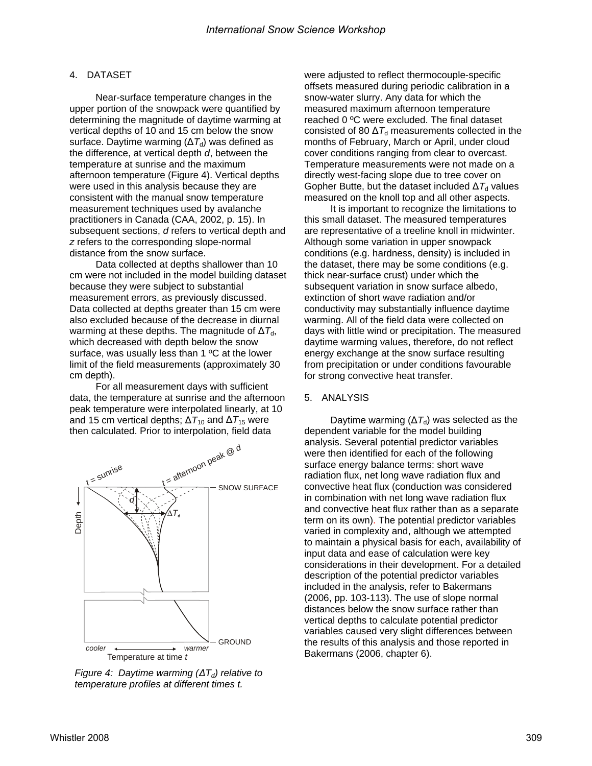### 4. DATASET

Near-surface temperature changes in the upper portion of the snowpack were quantified by determining the magnitude of daytime warming at vertical depths of 10 and 15 cm below the snow surface. Daytime warming ( $\Delta T_d$ ) was defined as the difference, at vertical depth *d*, between the temperature at sunrise and the maximum afternoon temperature (Figure 4). Vertical depths were used in this analysis because they are consistent with the manual snow temperature measurement techniques used by avalanche practitioners in Canada (CAA, 2002, p. 15). In subsequent sections, *d* refers to vertical depth and *z* refers to the corresponding slope-normal distance from the snow surface.

Data collected at depths shallower than 10 cm were not included in the model building dataset because they were subject to substantial measurement errors, as previously discussed. Data collected at depths greater than 15 cm were also excluded because of the decrease in diurnal warming at these depths. The magnitude of  $\Delta T_{d}$ , which decreased with depth below the snow surface, was usually less than 1 ºC at the lower limit of the field measurements (approximately 30 cm depth).

For all measurement days with sufficient data, the temperature at sunrise and the afternoon peak temperature were interpolated linearly, at 10 and 15 cm vertical depths;  $\Delta T_{10}$  and  $\Delta T_{15}$  were then calculated. Prior to interpolation, field data



*Figure 4: Daytime warming (* $\Delta T_d$ *) relative to temperature profiles at different times t.* 

were adjusted to reflect thermocouple-specific offsets measured during periodic calibration in a snow-water slurry. Any data for which the measured maximum afternoon temperature reached 0 ºC were excluded. The final dataset consisted of 80  $\Delta T_d$  measurements collected in the months of February, March or April, under cloud cover conditions ranging from clear to overcast. Temperature measurements were not made on a directly west-facing slope due to tree cover on Gopher Butte, but the dataset included  $\Delta T_d$  values measured on the knoll top and all other aspects.

It is important to recognize the limitations to this small dataset. The measured temperatures are representative of a treeline knoll in midwinter. Although some variation in upper snowpack conditions (e.g. hardness, density) is included in the dataset, there may be some conditions (e.g. thick near-surface crust) under which the subsequent variation in snow surface albedo, extinction of short wave radiation and/or conductivity may substantially influence daytime warming. All of the field data were collected on days with little wind or precipitation. The measured daytime warming values, therefore, do not reflect energy exchange at the snow surface resulting from precipitation or under conditions favourable for strong convective heat transfer.

#### 5. ANALYSIS

Daytime warming ( $\Delta T_d$ ) was selected as the dependent variable for the model building analysis. Several potential predictor variables were then identified for each of the following surface energy balance terms: short wave radiation flux, net long wave radiation flux and convective heat flux (conduction was considered in combination with net long wave radiation flux and convective heat flux rather than as a separate term on its own). The potential predictor variables varied in complexity and, although we attempted to maintain a physical basis for each, availability of input data and ease of calculation were key considerations in their development. For a detailed description of the potential predictor variables included in the analysis, refer to Bakermans (2006, pp. 103-113). The use of slope normal distances below the snow surface rather than vertical depths to calculate potential predictor variables caused very slight differences between the results of this analysis and those reported in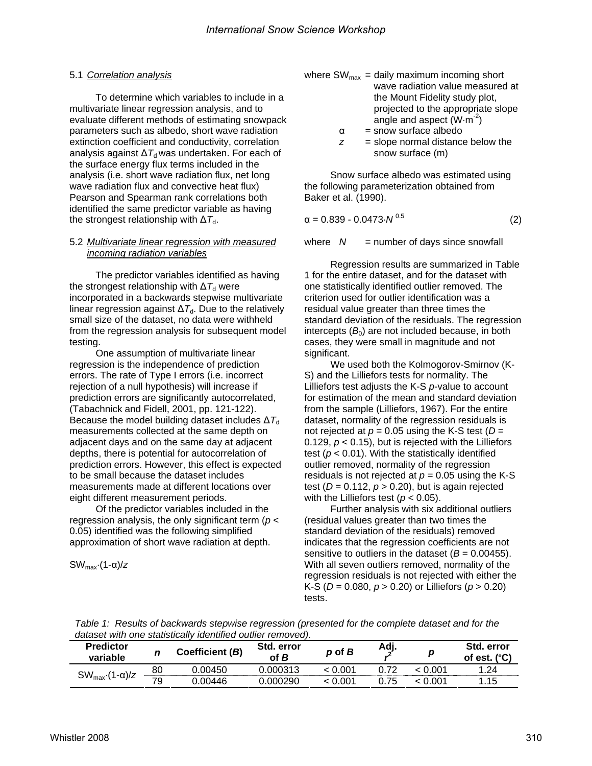## 5.1 *Correlation analysis*

To determine which variables to include in a multivariate linear regression analysis, and to evaluate different methods of estimating snowpack parameters such as albedo, short wave radiation extinction coefficient and conductivity, correlation analysis against  $\Delta T_d$  was undertaken. For each of the surface energy flux terms included in the analysis (i.e. short wave radiation flux, net long wave radiation flux and convective heat flux) Pearson and Spearman rank correlations both identified the same predictor variable as having the strongest relationship with  $\Delta T_d$ .

#### 5.2 *Multivariate linear regression with measured incoming radiation variables*

The predictor variables identified as having the strongest relationship with  $\Delta T_d$  were incorporated in a backwards stepwise multivariate linear regression against  $\Delta T_d$ . Due to the relatively small size of the dataset, no data were withheld from the regression analysis for subsequent model testing.

One assumption of multivariate linear regression is the independence of prediction errors. The rate of Type I errors (i.e. incorrect rejection of a null hypothesis) will increase if prediction errors are significantly autocorrelated, (Tabachnick and Fidell, 2001, pp. 121-122). Because the model building dataset includes  $\Delta\mathcal{T}_{d}$ measurements collected at the same depth on adjacent days and on the same day at adjacent depths, there is potential for autocorrelation of prediction errors. However, this effect is expected to be small because the dataset includes measurements made at different locations over eight different measurement periods.

Of the predictor variables included in the regression analysis, the only significant term (*p* < 0.05) identified was the following simplified approximation of short wave radiation at depth.

SWmax·(1-α)/*z* 

where 
$$
SW_{\text{max}} = \text{daily maximum incoming short}
$$
 \n wave radiation value measured at the Mount Fidelity study plot, projected to the appropriate slope \n angle and aspect  $(W \cdot m^{-2})$ 

- $\alpha$  = snow surface albedo
- $z = slope$  normal distance below the snow surface (m)

Snow surface albedo was estimated using the following parameterization obtained from Baker et al. (1990).

$$
\alpha = 0.839 - 0.0473 \cdot N^{0.5} \tag{2}
$$

where  $N =$  number of days since snowfall

Regression results are summarized in Table 1 for the entire dataset, and for the dataset with one statistically identified outlier removed. The criterion used for outlier identification was a residual value greater than three times the standard deviation of the residuals. The regression intercepts  $(B<sub>0</sub>)$  are not included because, in both cases, they were small in magnitude and not significant.

We used both the Kolmogorov-Smirnov (K-S) and the Lilliefors tests for normality. The Lilliefors test adjusts the K-S *p*-value to account for estimation of the mean and standard deviation from the sample (Lilliefors, 1967). For the entire dataset, normality of the regression residuals is not rejected at  $p = 0.05$  using the K-S test ( $D =$ 0.129,  $p < 0.15$ ), but is rejected with the Lilliefors test ( $p < 0.01$ ). With the statistically identified outlier removed, normality of the regression residuals is not rejected at  $p = 0.05$  using the K-S test ( $D = 0.112$ ,  $p > 0.20$ ), but is again rejected with the Lilliefors test (*p* < 0.05).

Further analysis with six additional outliers (residual values greater than two times the standard deviation of the residuals) removed indicates that the regression coefficients are not sensitive to outliers in the dataset  $(B = 0.00455)$ . With all seven outliers removed, normality of the regression residuals is not rejected with either the K-S (*D* = 0.080, *p* > 0.20) or Lilliefors (*p* > 0.20) tests.

| Table 1: Results of backwards stepwise regression (presented for the complete dataset and for the |  |  |
|---------------------------------------------------------------------------------------------------|--|--|
| dataset with one statistically identified outlier removed).                                       |  |  |

| <b>Predictor</b><br>variable  |    | Coefficient (B) | Std. error<br>of B | $p$ of $B$ | Adj. | D       | Std. error<br>. (°C'<br>of est. |
|-------------------------------|----|-----------------|--------------------|------------|------|---------|---------------------------------|
| $SW_{\text{max}}(1-\alpha)/z$ | 80 | 0.00450         | 0.000313           | 0.001 ء    |      | 0.001 > | 24. ا                           |
|                               | 79 | 0.00446         | 0.000290           | 0.001 >    | 1.75 | .001    | .15                             |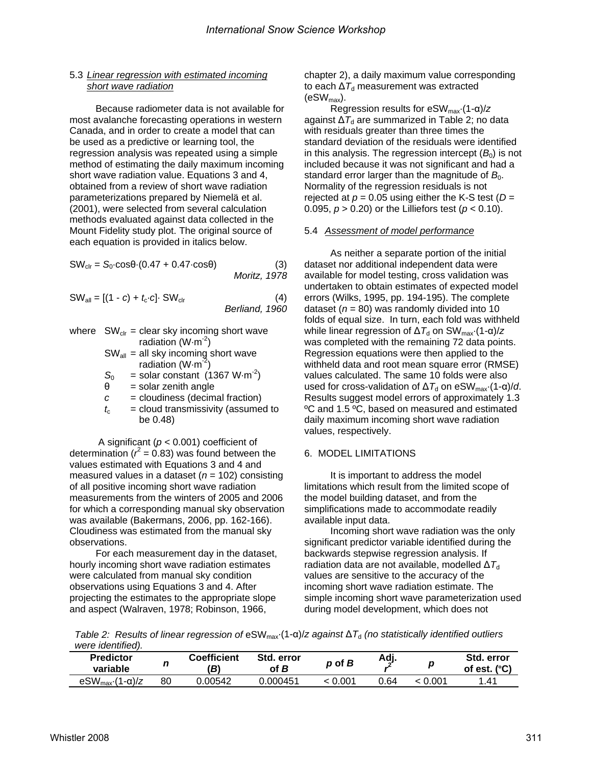## 5.3 *Linear regression with estimated incoming short wave radiation*

Because radiometer data is not available for most avalanche forecasting operations in western Canada, and in order to create a model that can be used as a predictive or learning tool, the regression analysis was repeated using a simple method of estimating the daily maximum incoming short wave radiation value. Equations 3 and 4, obtained from a review of short wave radiation parameterizations prepared by Niemelä et al. (2001), were selected from several calculation methods evaluated against data collected in the Mount Fidelity study plot. The original source of each equation is provided in italics below.

 $SW_{\text{cir}} = S_0 \cdot \cos\theta \cdot (0.47 + 0.47 \cdot \cos\theta)$  (3) *Moritz, 1978*

$$
SW_{all} = [(1 - c) + t_c \cdot c] \cdot SW_{clr}
$$
 *Berliand, 1960*

- where  $SW_{\text{clr}} = \text{clear sky incoming short wave}$ radiation  $(W \cdot m^2)$ 
	- $SW_{all}$  = all sky incoming short wave radiation  $(W·m<sup>-2</sup>)$
	- $S_0$  = solar constant (1367 W·m<sup>-2</sup>)
	- $\theta$  = solar zenith angle
	- *c* = cloudiness (decimal fraction)
	- $t_c$  = cloud transmissivity (assumed to be 0.48)

 A significant (*p* < 0.001) coefficient of determination ( $r^2 = 0.83$ ) was found between the values estimated with Equations 3 and 4 and measured values in a dataset (*n* = 102) consisting of all positive incoming short wave radiation measurements from the winters of 2005 and 2006 for which a corresponding manual sky observation was available (Bakermans, 2006, pp. 162-166). Cloudiness was estimated from the manual sky observations.

For each measurement day in the dataset, hourly incoming short wave radiation estimates were calculated from manual sky condition observations using Equations 3 and 4. After projecting the estimates to the appropriate slope and aspect (Walraven, 1978; Robinson, 1966,

chapter 2), a daily maximum value corresponding to each  $\Delta T_d$  measurement was extracted  $(eSW_{max})$ .

Regression results for eSWmax·(1-α)/*z* against  $\Delta T_d$  are summarized in Table 2; no data with residuals greater than three times the standard deviation of the residuals were identified in this analysis. The regression intercept  $(B<sub>0</sub>)$  is not included because it was not significant and had a standard error larger than the magnitude of  $B<sub>0</sub>$ . Normality of the regression residuals is not rejected at  $p = 0.05$  using either the K-S test ( $D =$ 0.095, *p* > 0.20) or the Lilliefors test (*p* < 0.10).

#### 5.4 *Assessment of model performance*

As neither a separate portion of the initial dataset nor additional independent data were available for model testing, cross validation was undertaken to obtain estimates of expected model errors (Wilks, 1995, pp. 194-195). The complete dataset ( $n = 80$ ) was randomly divided into 10 folds of equal size. In turn, each fold was withheld while linear regression of  $\Delta T_d$  on SW<sub>max</sub>·(1-α)/*z* was completed with the remaining 72 data points. Regression equations were then applied to the withheld data and root mean square error (RMSE) values calculated. The same 10 folds were also used for cross-validation of  $ΔT_d$  on eSW<sub>max</sub>·(1-α)/*d*. Results suggest model errors of approximately 1.3 ºC and 1.5 ºC, based on measured and estimated daily maximum incoming short wave radiation values, respectively.

### 6. MODEL LIMITATIONS

It is important to address the model limitations which result from the limited scope of the model building dataset, and from the simplifications made to accommodate readily available input data.

Incoming short wave radiation was the only significant predictor variable identified during the backwards stepwise regression analysis. If radiation data are not available, modelled  $\Delta T_d$ values are sensitive to the accuracy of the incoming short wave radiation estimate. The simple incoming short wave parameterization used during model development, which does not

*Table 2: Results of linear regression of* eSWmax·(1-α)/*z against* ∆*T*d *(no statistically identified outliers were identified).* 

| <b>Predictor</b><br>variable                      | n  | <b>Coefficient</b><br>B) | Std. error<br>B<br>of | p of B | Adj. | n   | Std. error<br>$\mathcal{C}$<br>est |
|---------------------------------------------------|----|--------------------------|-----------------------|--------|------|-----|------------------------------------|
| eSW <sub>max</sub><br>$\cdot$ (1- $\alpha$ )/ $z$ | 80 | 00542                    | .000451               | .001   | ን.64 | :00 | .41                                |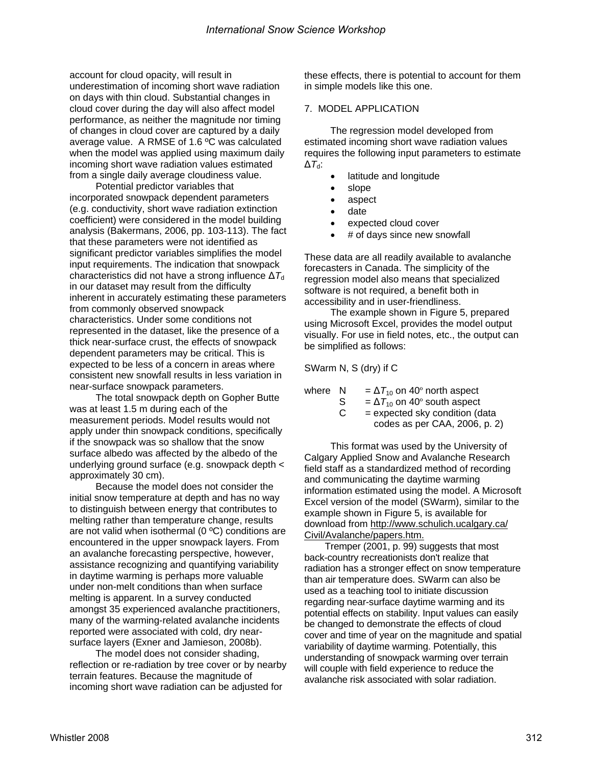account for cloud opacity, will result in underestimation of incoming short wave radiation on days with thin cloud. Substantial changes in cloud cover during the day will also affect model performance, as neither the magnitude nor timing of changes in cloud cover are captured by a daily average value. A RMSE of 1.6 ºC was calculated when the model was applied using maximum daily incoming short wave radiation values estimated from a single daily average cloudiness value.

Potential predictor variables that incorporated snowpack dependent parameters (e.g. conductivity, short wave radiation extinction coefficient) were considered in the model building analysis (Bakermans, 2006, pp. 103-113). The fact that these parameters were not identified as significant predictor variables simplifies the model input requirements. The indication that snowpack characteristics did not have a strong influence  $\Delta T_{d}$ in our dataset may result from the difficulty inherent in accurately estimating these parameters from commonly observed snowpack characteristics. Under some conditions not represented in the dataset, like the presence of a thick near-surface crust, the effects of snowpack dependent parameters may be critical. This is expected to be less of a concern in areas where consistent new snowfall results in less variation in near-surface snowpack parameters.

The total snowpack depth on Gopher Butte was at least 1.5 m during each of the measurement periods. Model results would not apply under thin snowpack conditions, specifically if the snowpack was so shallow that the snow surface albedo was affected by the albedo of the underlying ground surface (e.g. snowpack depth < approximately 30 cm).

Because the model does not consider the initial snow temperature at depth and has no way to distinguish between energy that contributes to melting rather than temperature change, results are not valid when isothermal (0 ºC) conditions are encountered in the upper snowpack layers. From an avalanche forecasting perspective, however, assistance recognizing and quantifying variability in daytime warming is perhaps more valuable under non-melt conditions than when surface melting is apparent. In a survey conducted amongst 35 experienced avalanche practitioners, many of the warming-related avalanche incidents reported were associated with cold, dry nearsurface layers (Exner and Jamieson, 2008b).

The model does not consider shading, reflection or re-radiation by tree cover or by nearby terrain features. Because the magnitude of incoming short wave radiation can be adjusted for

these effects, there is potential to account for them in simple models like this one.

## 7. MODEL APPLICATION

The regression model developed from estimated incoming short wave radiation values requires the following input parameters to estimate ∆*T*d:

- latitude and longitude
- slope
- aspect
- date
- expected cloud cover
- # of days since new snowfall

These data are all readily available to avalanche forecasters in Canada. The simplicity of the regression model also means that specialized software is not required, a benefit both in accessibility and in user-friendliness.

The example shown in Figure 5, prepared using Microsoft Excel, provides the model output visually. For use in field notes, etc., the output can be simplified as follows:

SWarm N, S (dry) if C

| where N |    | $=\Delta T_{10}$ on 40° north aspect |
|---------|----|--------------------------------------|
|         |    |                                      |
|         | S. | $=\Delta T_{10}$ on 40° south aspect |
|         | C  | $=$ expected sky condition (data     |
|         |    | codes as per CAA, 2006, p. 2)        |

This format was used by the University of Calgary Applied Snow and Avalanche Research field staff as a standardized method of recording and communicating the daytime warming information estimated using the model. A Microsoft Excel version of the model (SWarm), similar to the example shown in Figure 5, is available for download from http://www.schulich.ucalgary.ca/ Civil/Avalanche/papers.htm.

 Tremper (2001, p. 99) suggests that most back-country recreationists don't realize that radiation has a stronger effect on snow temperature than air temperature does. SWarm can also be used as a teaching tool to initiate discussion regarding near-surface daytime warming and its potential effects on stability. Input values can easily be changed to demonstrate the effects of cloud cover and time of year on the magnitude and spatial variability of daytime warming. Potentially, this understanding of snowpack warming over terrain will couple with field experience to reduce the avalanche risk associated with solar radiation.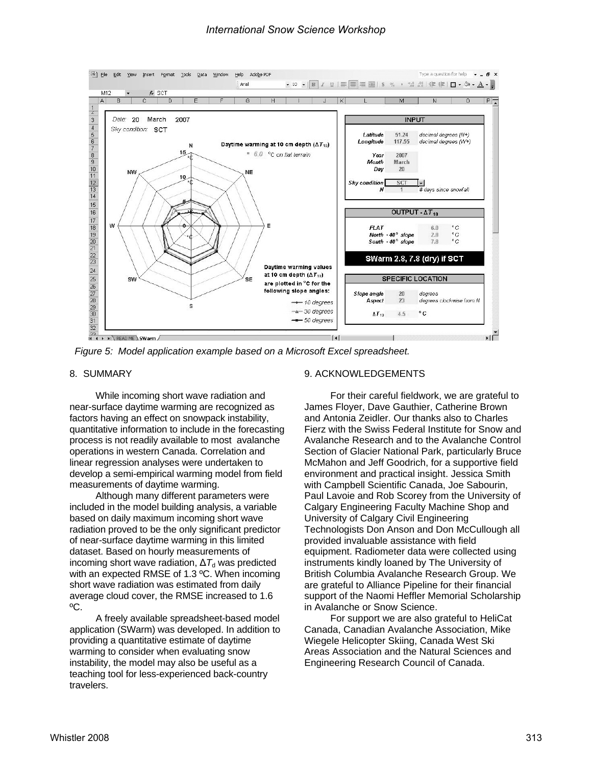

*Figure 5: Model application example based on a Microsoft Excel spreadsheet.* 

#### 8. SUMMARY

While incoming short wave radiation and near-surface daytime warming are recognized as factors having an effect on snowpack instability, quantitative information to include in the forecasting process is not readily available to most avalanche operations in western Canada. Correlation and linear regression analyses were undertaken to develop a semi-empirical warming model from field measurements of daytime warming.

Although many different parameters were included in the model building analysis, a variable based on daily maximum incoming short wave radiation proved to be the only significant predictor of near-surface daytime warming in this limited dataset. Based on hourly measurements of incoming short wave radiation,  $\Delta T_d$  was predicted with an expected RMSE of 1.3 ºC. When incoming short wave radiation was estimated from daily average cloud cover, the RMSE increased to 1.6 ºC.

A freely available spreadsheet-based model application (SWarm) was developed. In addition to providing a quantitative estimate of daytime warming to consider when evaluating snow instability, the model may also be useful as a teaching tool for less-experienced back-country travelers.

#### 9. ACKNOWLEDGEMENTS

For their careful fieldwork, we are grateful to James Floyer, Dave Gauthier, Catherine Brown and Antonia Zeidler. Our thanks also to Charles Fierz with the Swiss Federal Institute for Snow and Avalanche Research and to the Avalanche Control Section of Glacier National Park, particularly Bruce McMahon and Jeff Goodrich, for a supportive field environment and practical insight. Jessica Smith with Campbell Scientific Canada, Joe Sabourin, Paul Lavoie and Rob Scorey from the University of Calgary Engineering Faculty Machine Shop and University of Calgary Civil Engineering Technologists Don Anson and Don McCullough all provided invaluable assistance with field equipment. Radiometer data were collected using instruments kindly loaned by The University of British Columbia Avalanche Research Group. We are grateful to Alliance Pipeline for their financial support of the Naomi Heffler Memorial Scholarship in Avalanche or Snow Science.

For support we are also grateful to HeliCat Canada, Canadian Avalanche Association, Mike Wiegele Helicopter Skiing, Canada West Ski Areas Association and the Natural Sciences and Engineering Research Council of Canada.